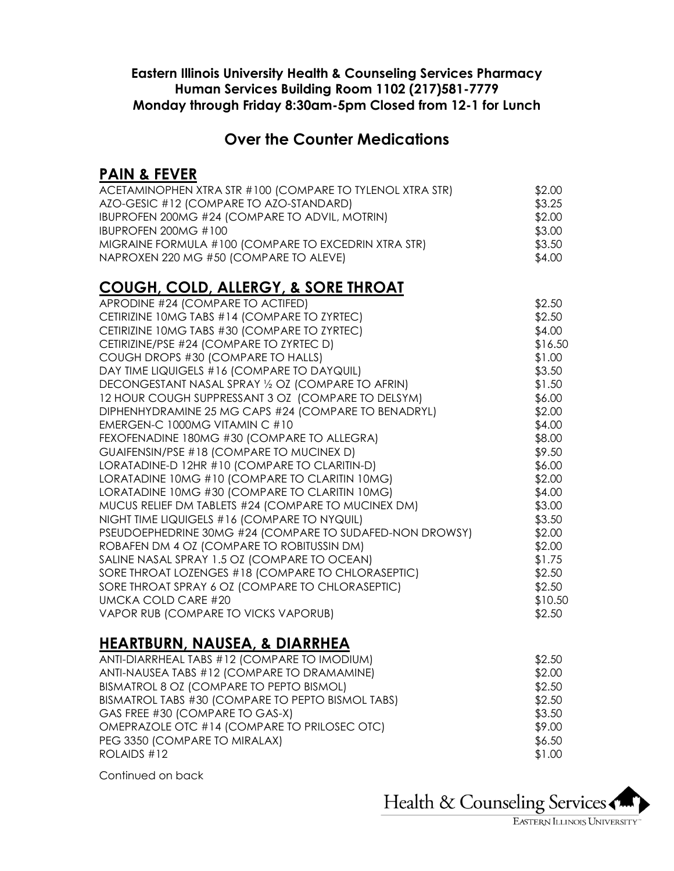#### **Eastern Illinois University Health & Counseling Services Pharmacy Human Services Building Room 1102 (217)581-7779 Monday through Friday 8:30am-5pm Closed from 12-1 for Lunch**

#### **Over the Counter Medications**

#### **PAIN & FEVER**

| ACETAMINOPHEN XTRA STR #100 (COMPARE TO TYLENOL XTRA STR) | \$2.00 |
|-----------------------------------------------------------|--------|
| AZO-GESIC #12 (COMPARE TO AZO-STANDARD)                   | \$3.25 |
| IBUPROFEN 200MG #24 (COMPARE TO ADVIL, MOTRIN)            | \$2.00 |
| IBUPROFEN 200MG #100                                      | \$3.00 |
| MIGRAINE FORMULA #100 (COMPARE TO EXCEDRIN XTRA STR)      | \$3.50 |
| NAPROXEN 220 MG #50 (COMPARE TO ALEVE)                    | \$4.00 |

### **COUGH, COLD, ALLERGY, & SORE THROAT**

| APRODINE #24 (COMPARE TO ACTIFED)                        | \$2.50  |
|----------------------------------------------------------|---------|
| CETIRIZINE 10MG TABS #14 (COMPARE TO ZYRTEC)             | \$2.50  |
| CETIRIZINE 10MG TABS #30 (COMPARE TO ZYRTEC)             | \$4.00  |
| CETIRIZINE/PSE #24 (COMPARE TO ZYRTEC D)                 | \$16.50 |
| COUGH DROPS #30 (COMPARE TO HALLS)                       | \$1.00  |
| DAY TIME LIQUIGELS #16 (COMPARE TO DAYQUIL)              | \$3.50  |
| DECONGESTANT NASAL SPRAY 1/2 OZ (COMPARE TO AFRIN)       | \$1.50  |
| 12 HOUR COUGH SUPPRESSANT 3 OZ (COMPARE TO DELSYM)       | \$6.00  |
| DIPHENHYDRAMINE 25 MG CAPS #24 (COMPARE TO BENADRYL)     | \$2.00  |
| EMERGEN-C 1000MG VITAMIN C #10                           | \$4.00  |
| FEXOFENADINE 180MG #30 (COMPARE TO ALLEGRA)              | \$8.00  |
| GUAIFENSIN/PSE #18 (COMPARE TO MUCINEX D)                | \$9.50  |
| LORATADINE-D 12HR #10 (COMPARE TO CLARITIN-D)            | \$6.00  |
| LORATADINE 10MG #10 (COMPARE TO CLARITIN 10MG)           | \$2.00  |
| LORATADINE 10MG #30 (COMPARE TO CLARITIN 10MG)           | \$4.00  |
| MUCUS RELIEF DM TABLETS #24 (COMPARE TO MUCINEX DM)      | \$3.00  |
| NIGHT TIME LIQUIGELS #16 (COMPARE TO NYQUIL)             | \$3.50  |
| PSEUDOEPHEDRINE 30MG #24 (COMPARE TO SUDAFED-NON DROWSY) | \$2.00  |
| ROBAFEN DM 4 OZ (COMPARE TO ROBITUSSIN DM)               | \$2.00  |
| SALINE NASAL SPRAY 1.5 OZ (COMPARE TO OCEAN)             | \$1.75  |
| SORE THROAT LOZENGES #18 (COMPARE TO CHLORASEPTIC)       | \$2.50  |
| SORE THROAT SPRAY 6 OZ (COMPARE TO CHLORASEPTIC)         | \$2.50  |
| UMCKA COLD CARE #20                                      | \$10.50 |
| VAPOR RUB (COMPARE TO VICKS VAPORUB)                     | \$2.50  |
|                                                          |         |

#### **HEARTBURN, NAUSEA, & DIARRHEA**

| ANTI-NAUSEA TABS #12 (COMPARE TO DRAMAMINE)<br>BISMATROL 8 OZ (COMPARE TO PEPTO BISMOL)<br>BISMATROL TABS #30 (COMPARE TO PEPTO BISMOL TABS)<br>GAS FREE #30 (COMPARE TO GAS-X)<br>OMEPRAZOLE OTC #14 (COMPARE TO PRILOSEC OTC)<br>PEG 3350 (COMPARE TO MIRALAX)<br>ROLAIDS #12 | ANTI-DIARRHEAL TABS #12 (COMPARE TO IMODIUM) | \$2.50 |
|---------------------------------------------------------------------------------------------------------------------------------------------------------------------------------------------------------------------------------------------------------------------------------|----------------------------------------------|--------|
|                                                                                                                                                                                                                                                                                 |                                              | \$2.00 |
|                                                                                                                                                                                                                                                                                 |                                              | \$2.50 |
|                                                                                                                                                                                                                                                                                 |                                              | \$2.50 |
|                                                                                                                                                                                                                                                                                 |                                              | \$3.50 |
|                                                                                                                                                                                                                                                                                 |                                              | \$9.00 |
|                                                                                                                                                                                                                                                                                 |                                              | \$6.50 |
|                                                                                                                                                                                                                                                                                 |                                              | \$1.00 |

Continued on back

Health & Counseling Services